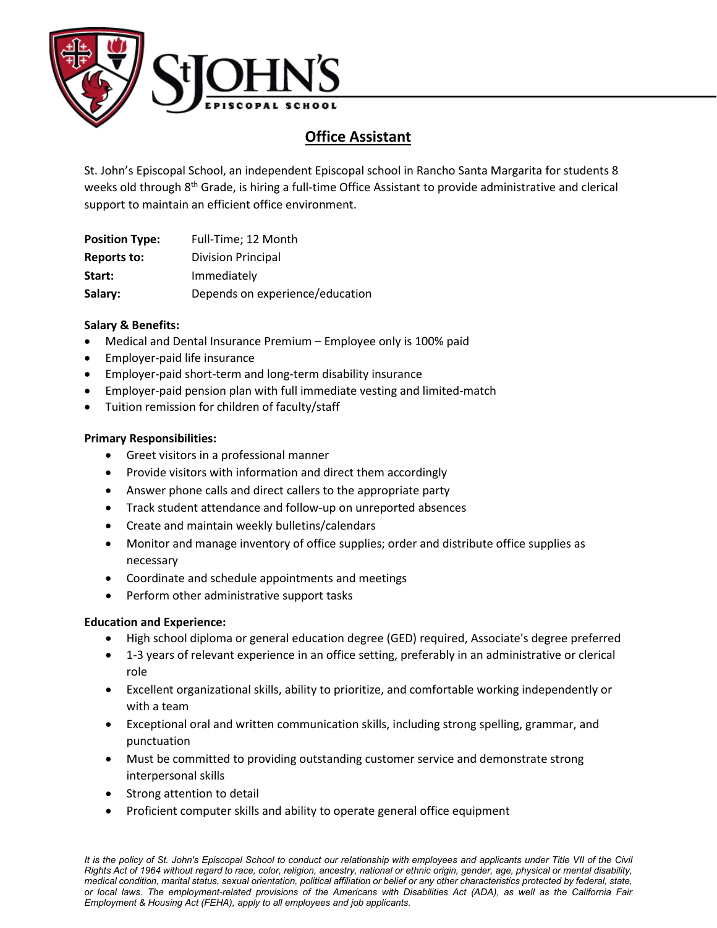

# **Office Assistant**

St. John's Episcopal School, an independent Episcopal school in Rancho Santa Margarita for students 8 weeks old through 8<sup>th</sup> Grade, is hiring a full-time Office Assistant to provide administrative and clerical support to maintain an efficient office environment.

| <b>Position Type:</b> | Full-Time; 12 Month             |
|-----------------------|---------------------------------|
| Reports to:           | <b>Division Principal</b>       |
| Start:                | Immediately                     |
| Salary:               | Depends on experience/education |

# **Salary & Benefits:**

- Medical and Dental Insurance Premium Employee only is 100% paid
- Employer-paid life insurance
- Employer-paid short-term and long-term disability insurance
- Employer-paid pension plan with full immediate vesting and limited-match
- Tuition remission for children of faculty/staff

### **Primary Responsibilities:**

- Greet visitors in a professional manner
- Provide visitors with information and direct them accordingly
- Answer phone calls and direct callers to the appropriate party
- Track student attendance and follow-up on unreported absences
- Create and maintain weekly bulletins/calendars
- Monitor and manage inventory of office supplies; order and distribute office supplies as necessary
- Coordinate and schedule appointments and meetings
- Perform other administrative support tasks

# **Education and Experience:**

- High school diploma or general education degree (GED) required, Associate's degree preferred
- 1-3 years of relevant experience in an office setting, preferably in an administrative or clerical role
- Excellent organizational skills, ability to prioritize, and comfortable working independently or with a team
- Exceptional oral and written communication skills, including strong spelling, grammar, and punctuation
- Must be committed to providing outstanding customer service and demonstrate strong interpersonal skills
- Strong attention to detail
- Proficient computer skills and ability to operate general office equipment